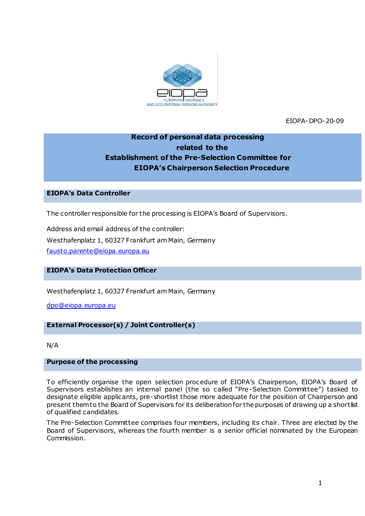

EIOPA-DPO-20-09

# **Record of personal data processing related to the Establishment of the Pre-Selection Committee for EIOPA's Chairperson Selection Procedure**

# **EIOPA's Data Controller**

The controller responsible for the processing is EIOPA's Board of Supervisors.

Address and email address of the controller: Westhafenplatz 1, 60327 Frankfurt am Main, Germany [fausto.parente@eiopa.europa.eu](mailto:fausto.parente@eiopa.europa.eu)

# **EIOPA's Data Protection Officer**

Westhafenplatz 1, 60327 Frankfurt am Main, Germany

[dpo@eiopa.europa.eu](mailto:dpo@eiopa.europa.eu)

# **External Processor(s) / Joint Controller(s)**

N/A

#### **Purpose of the processing**

To efficiently organise the open selection procedure of EIOPA's Chairperson, EIOPA's Board of Supervisors establishes an internal panel (the so called "Pre-Selection Committee") tasked to designate eligible applicants, pre-shortlist those more adequate for the position of Chairperson and present them to the Board of Supervisors for its deliberation for the purposes of drawing up a shortlist of qualified candidates.

The Pre-Selection Committee comprises four members, including its chair. Three are elected by the Board of Supervisors, whereas the fourth member is a senior official nominated by the European Commission.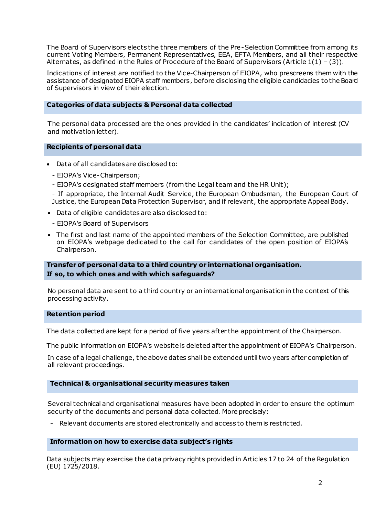The Board of Supervisors elects the three members of the Pre-Selection Committee from among its current Voting Members, Permanent Representatives, EEA, EFTA Members, and all their respective Alternates, as defined in the Rules of Procedure of the Board of Supervisors (Article  $1(1) - (3)$ ).

Indications of interest are notified to the Vice-Chairperson of EIOPA, who prescreens them with the assistance of designated EIOPA staff members, before disclosing the eligible candidacies to the Board of Supervisors in view of their election.

#### **Categories of data subjects & Personal data collected**

The personal data processed are the ones provided in the candidates' indication of interest (CV and motivation letter).

#### **Recipients of personal data**

- Data of all candidates are disclosed to:
	- EIOPA's Vice-Chairperson;
	- EIOPA's designated staff members (from the Legal team and the HR Unit);

- If appropriate, the Internal Audit Service, the European Ombudsman, the European Court of Justice, the European Data Protection Supervisor, and if relevant, the appropriate Appeal Body.

- Data of eligible candidates are also disclosed to:
- EIOPA's Board of Supervisors
- The first and last name of the appointed members of the Selection Committee, are published on EIOPA's webpage dedicated to the call for candidates of the open position of EIOPA's Chairperson.

# **Transfer of personal data to a third country or international organisation. If so, to which ones and with which safeguards?**

No personal data are sent to a third country or an international organisation in the context of this processing activity.

# **Retention period**

The data collected are kept for a period of five years after the appointment of the Chairperson.

The public information on EIOPA's website is deleted after the appointment of EIOPA's Chairperson.

In case of a legal challenge, the above dates shall be extended until two years after completion of all relevant proceedings.

# **Technical & organisational security measures taken**

Several technical and organisational measures have been adopted in order to ensure the optimum security of the documents and personal data collected. More precisely:

- Relevant documents are stored electronically and access to them is restricted.

# **Information on how to exercise data subject's rights**

Data subjects may exercise the data privacy rights provided in Articles 17 to 24 of the Regulation (EU) 1725/2018.